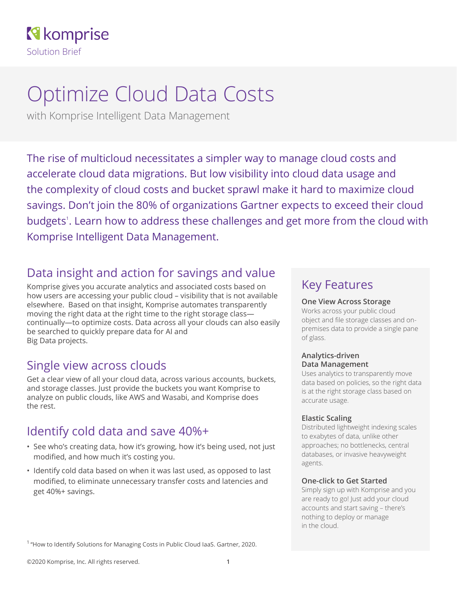### **R** komprise Solution Brief

# Optimize Cloud Data Costs

with Komprise Intelligent Data Management

The rise of multicloud necessitates a simpler way to manage cloud costs and accelerate cloud data migrations. But low visibility into cloud data usage and the complexity of cloud costs and bucket sprawl make it hard to maximize cloud savings. Don't join the 80% of organizations Gartner expects to exceed their cloud budgets<sup>1</sup>. Learn how to address these challenges and get more from the cloud with Komprise Intelligent Data Management.

### Data insight and action for savings and value

Komprise gives you accurate analytics and associated costs based on how users are accessing your public cloud – visibility that is not available elsewhere. Based on that insight, Komprise automates transparently moving the right data at the right time to the right storage class continually—to optimize costs. Data across all your clouds can also easily be searched to quickly prepare data for AI and Big Data projects.

### Single view across clouds

Get a clear view of all your cloud data, across various accounts, buckets, and storage classes. Just provide the buckets you want Komprise to analyze on public clouds, like AWS and Wasabi, and Komprise does the rest.

### Identify cold data and save 40%+

- See who's creating data, how it's growing, how it's being used, not just modified, and how much it's costing you.
- Identify cold data based on when it was last used, as opposed to last modified, to eliminate unnecessary transfer costs and latencies and get 40%+ savings.

### Key Features

#### **One View Across Storage**

Works across your public cloud object and file storage classes and onpremises data to provide a single pane of glass.

#### **Analytics-driven Data Management**

Uses analytics to transparently move data based on policies, so the right data is at the right storage class based on accurate usage.

#### **Elastic Scaling**

Distributed lightweight indexing scales to exabytes of data, unlike other approaches; no bottlenecks, central databases, or invasive heavyweight agents.

#### **One-click to Get Started**

Simply sign up with Komprise and you are ready to go! Just add your cloud accounts and start saving – there's nothing to deploy or manage in the cloud.

<sup>1</sup> "How to Identify Solutions for Managing Costs in Public Cloud IaaS. Gartner, 2020.